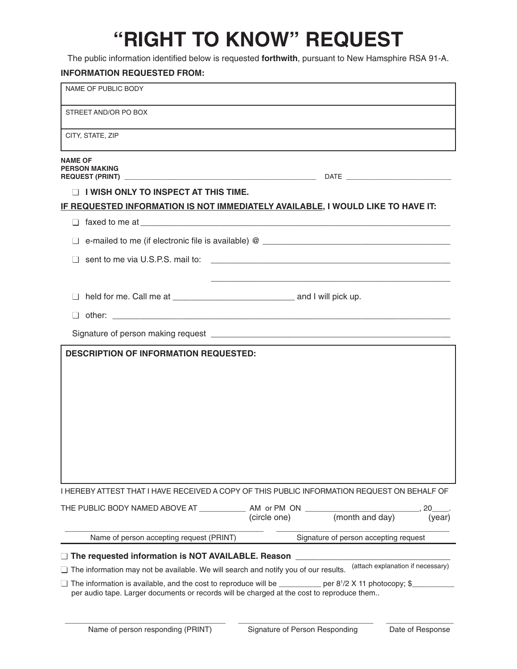# **"RIGHT TO KNOW" REQUEST**

The public information identified below is requested **forthwith**, pursuant to New Hamsphire RSA 91-A.

## **INFORMATION REQUESTED FROM:**

| NAME OF PUBLIC BODY                                                                                             |              |                                       |              |
|-----------------------------------------------------------------------------------------------------------------|--------------|---------------------------------------|--------------|
| STREET AND/OR PO BOX                                                                                            |              |                                       |              |
| CITY, STATE, ZIP                                                                                                |              |                                       |              |
| <b>NAME OF</b><br><b>PERSON MAKING</b>                                                                          |              |                                       |              |
| $\Box$ I WISH ONLY TO INSPECT AT THIS TIME.                                                                     |              |                                       |              |
| IF REQUESTED INFORMATION IS NOT IMMEDIATELY AVAILABLE, I WOULD LIKE TO HAVE IT:                                 |              |                                       |              |
|                                                                                                                 |              |                                       |              |
|                                                                                                                 |              |                                       |              |
| sent to me via U.S.P.S. mail to:                                                                                |              |                                       |              |
|                                                                                                                 |              |                                       |              |
|                                                                                                                 |              |                                       |              |
|                                                                                                                 |              |                                       |              |
|                                                                                                                 |              |                                       |              |
| <b>DESCRIPTION OF INFORMATION REQUESTED:</b>                                                                    |              |                                       |              |
|                                                                                                                 |              |                                       |              |
|                                                                                                                 |              |                                       |              |
|                                                                                                                 |              |                                       |              |
|                                                                                                                 |              |                                       |              |
|                                                                                                                 |              |                                       |              |
|                                                                                                                 |              |                                       |              |
|                                                                                                                 |              |                                       |              |
|                                                                                                                 |              |                                       |              |
| I HEREBY ATTEST THAT I HAVE RECEIVED A COPY OF THIS PUBLIC INFORMATION REQUEST ON BEHALF OF                     |              |                                       |              |
| THE PUBLIC BODY NAMED ABOVE AT ____________ AM_or PM_ON ________________________                                | (circle one) | (month and day)                       | 20<br>(year) |
| Name of person accepting request (PRINT)                                                                        |              | Signature of person accepting request |              |
| $\Box$ The requested information is NOT AVAILABLE. Reason                                                       |              |                                       |              |
| $\Box$ The information may not be available. We will search and notify you of our results.                      |              | (attach explanation if necessary)     |              |
| $\Box$ The information is available, and the cost to reproduce will be ___________ per 8'/2 X 11 photocopy; \$_ |              |                                       |              |
| per audio tape. Larger documents or records will be charged at the cost to reproduce them                       |              |                                       |              |